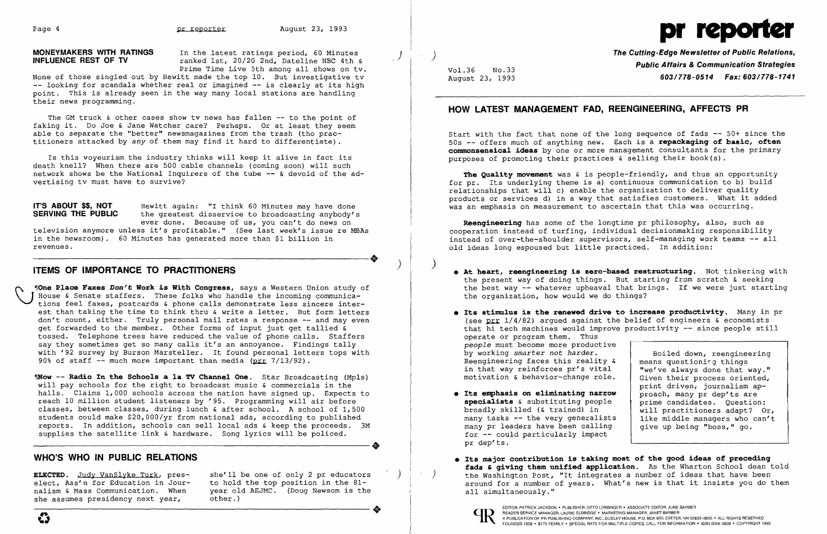

**MONEYMAKERS WITH RATINGS** In the latest ratings period, 60 Minutes<br>**INFLUENCE REST OF TV** *ranked 1st, 20/20 2nd, Dateline NBC 4th &* Prime Time Live 5th among all shows on tv.

None of those singled out by Hewitt made the top 10. But investigative tv -- looking for scandals whether real or imagined -- is clearly at its high point. This is already seen in the way many local stations are handling their news programming.

The GM truck & other cases show tv news has fallen -- to the point of faking it. Do Joe & Jane Watcher care? Perhaps. Or at least they seem able to separate the "better" newsmagazines from the trash (tho practitioners attacked by *any* of them may find it hard to differentiate) .

**IT'S ABOUT \$\$, NOT** Bewitt again: "I think 60 Minutes may have done **SERVING THE PUBLIC** the greatest disservice to broadcasting anybody's ever done. Because of us, you can't do news on

ne **Place Faxes** *Don't* **Work is With Congress,** says a Western Union study of House & Senate staffers. These folks who handle the incoming communications feel faxes, postcards & phone calls demonstrate less sincere interest than taking the time to think thru & write a letter. But form letters don't count, either. Truly personal mail rates a response -- and may even get forwarded to the member. Other forms of input just get tallied  $\bar{k}$ tossed. Telephone trees have reduced the value of phone calls. Staffers say they sometimes get so many calls it's an annoyance. Findings tally with '92 survey by Burson Marsteller. It found personal letters tops with 90% of staff  $-$ - much more important than media ( $_{\text{DLL}}$  7/13/92).

Is this voyeurism the industry thinks will keep it alive in fact its death knell? When there are 500 cable channels (coming soon) will such network shows be the National Inquirers of the tube -- & devoid of the advertising tv must have to survive?

television anymore unless it's profitable." (See last week's issue re MBAs In the newsroom). 60 Minutes has generated more than \$1 billion in revenues.<br> **ITEMS OF IMPORTANCE TO PRACTITIONERS** revenues.

Start with the fact that none of the long sequence of fads -- 50+ since the 50s -- offers much of anything new. Each is a **repackaging of basic, often commonsensical ideas** by one or more management consultants for the primary purposes of promoting their practices  $\&$  selling their book(s).

'~ow -- **Radio In the Schools a la TV Channel One.** Star Broadcasting (Mpls) will pay schools for the right to broadcast music & commercials in the halls. Claims 1,000 schools across the nation have signed up. Expects to reach 10 million student listeners by '95. Programming will air before classes, between classes, during lunch & after school. A school of 1,500 students could make \$20,000/yr from national ads, according to published reports. In addition, schools can sell local ads & keep the proceeds. 3M<br>supplies the satellite link & hardware. Song lyrics will be policed. supplies the satellite link & hardware. Song lyrics will be policed.

### **WHO'S WHO IN PUBLIC RELATIONS**

she assumes presidency next year,

**ELECTED.** Judy VanSlyke Turk, pres-<br>elect, Ass'n for Education in Jour- bo hold the top position in the 81elect, Ass'n for Education in Jour-<br>
nalism & Mass Communication. When <br>
vear old AEJMC. (Doug Newsom is the year old AEJMC. (Doug Newsom is the other.) ----------------------+ EDITOR, PATRICK JACKSON' PUBLISHER, orro LERBINGER • ASSOCIATE EDITOR, JUNE BARBER

 $\left( \right)$ 

**The Cutting-Edge Newsletter of Public Relations,** ) **Public Affairs & Communication Strategies** Vol. 36 No. 33 August 23, 1993 *603/778-0514 Fax: 603/778-1741* 

### **HOW LATEST MANAGEMENT FAD, REENGINEERING, AFFECTS PR**

**The Quality movement** was & is people-friendly, and thus an opportunity for pr. Its underlying theme is a) continuous communication to b) build relationships that will c) enable the organization to deliver quality products or services d) in a way that satisfies customers. What it added was an emphasis on measurement to ascertain that this was occurring.

**Reengineering** has some of the longtime pr philosophy, also, such as cooperation instead of turfing, individual decisionmaking responsibility instead of over-the-shoulder supervisors, self-managing work teams -- all old ideas long espoused but little practiced. In addition:

**• At heart, reengineering is zero-based restructuring.** Not tinkering with the present way of doing things. But starting from scratch & seeking the best way -- whatever upheaval that brings. If we were just starting

**• Its stimulus is the renewed drive to increase productivity.** Many in pr (see  $\pi r$  1/4/82) argued against the belief of engineers  $\epsilon$  economists that hi tech machines would improve productivity -- since people still

by working *smarter not harder*.<br>Reengineering faces this reality & means questioning things Reengineering faces this reality  $\kappa$  means questioning things<br>in that way reinforces pr's vital we've always done that way." in that way reinforces pr's vital | "we've always done that way."<br>motivation & behavior-change role. | Given their process oriented, print driven, journalism ap-<br>proach, many pr dep'ts are **• Its emphasis on eliminating narrow** proach, many pr dep'ts are specialists & substituting people **specialists** & substituting people prime candidates. Question:<br>broadly skilled (& trained) in will practitioners adapt? Or, broadly skilled (& trained) in  $\begin{bmatrix} \cdot & \cdot & \cdot \\ \cdot & \cdot & \cdot \\ \cdot & \cdot & \cdot \end{bmatrix}$  will practitioners adapt? Or, many tasks -- the very generalists is like middle managers who can't

- the organization, how would we do things?
- operate or program them. Thus *people* must become more productive  $motion$  & behavior-change role.
- many tasks -- the very generalists | like middle managers who c<br>many pr leaders have been calling | give up being "boss," go. many pr leaders have been calling for -- could particularly impact pr dep'ts.
- (b) the Washington Post, "It integrates a number of ideas that have been all simultaneously."



**• Its major contribution is taking most of the good ideas of preceding fads & giving them unified application.** As the Wharton School dean told around for a number of years. What's new is that it insists you do them